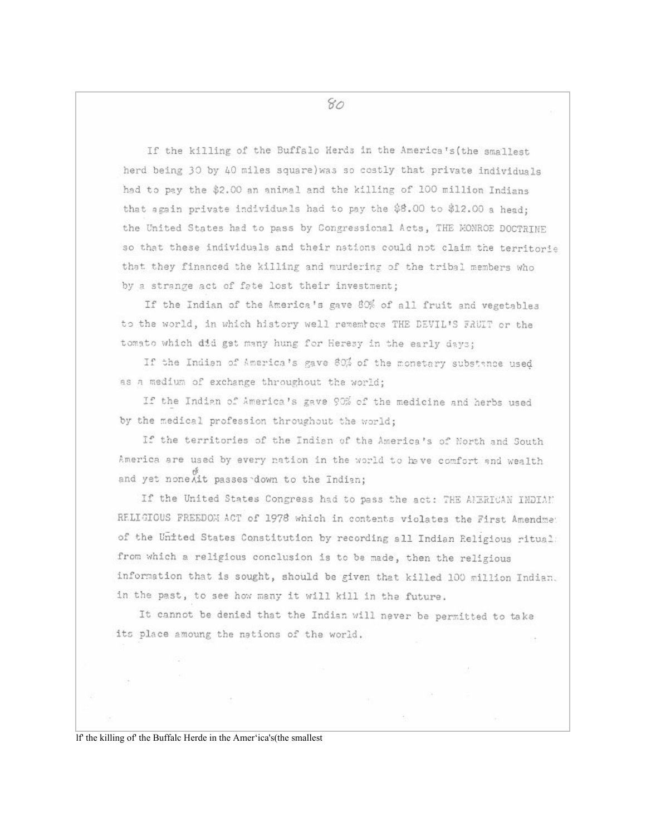If the killing of the Buffalo Herds in the America's (the smallest herd being 30 by 40 miles square) was so costly that private individuals had to pay the \$2.00 an animal and the killing of 100 million Indians that sgain private individuals had to pay the \$8.00 to \$12.00 a head: the United States had to pass by Congressional Acts, THE MONROE DOCTRINE so that these individuals and their nations could not claim the territorie that they financed the killing and murdering of the tribal members who by a strange act of fate lost their investment;

If the Indian of the America's gave 80% of all fruit and vegetables to the world, in which history well remembers THE DEVIL'S FRUIT or the tomato which did get many hung for Heresy in the early days;

If the Indian of America's gave 80% of the monetary substance used as a medium of exchange throughout the world;

If the Indian of America's gave 90% of the medicine and herbs used by the medical profession throughout the world;

If the territories of the Indian of the America's of North and South America are used by every nation in the world to have comfort and wealth and yet none Ait passes down to the Indian;

If the United States Congress had to pass the act: THE AFERICAN INDIAN RELIGIOUS FREEDOM ACT of 1978 which in contents violates the First Amendme: of the United States Constitution by recording all Indian Religious ritual: from which a religious conclusion is to be made, then the religious information that is sought, should be given that killed 100 million Indian. in the past, to see how many it will kill in the future.

It cannot be denied that the Indian will never be permitted to take its place amoung the nations of the world.

If the killing of the Buffalc Herde in the Amer'ica's (the smallest

80